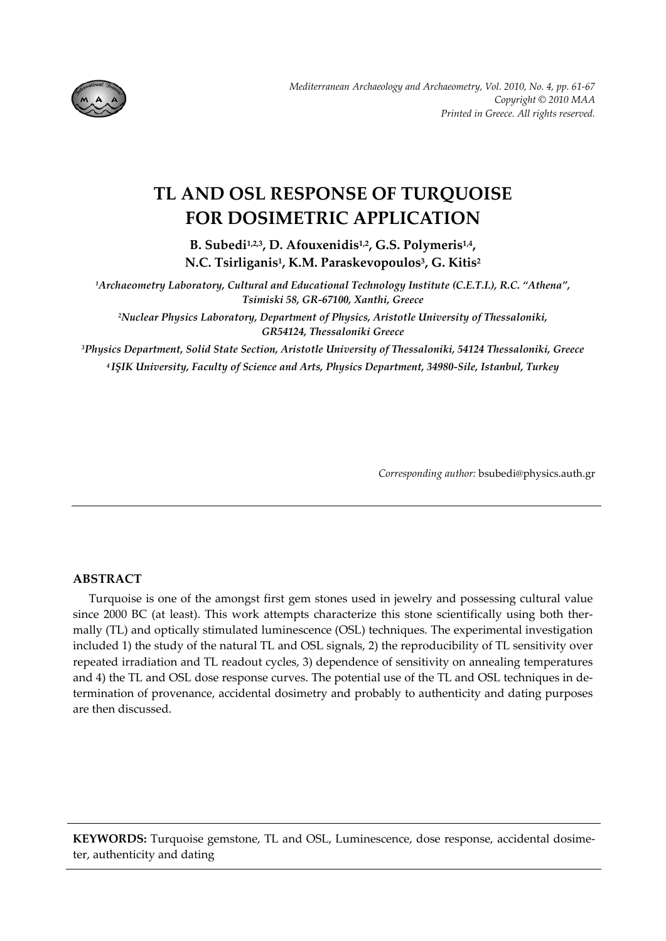

# **TL AND OSL RESPONSE OF TURQUOISE FOR DOSIMETRIC APPLICATION**

**B. Subedi1,2,3, D. Afouxenidis1,2, G.S. Polymeris1,4, N.C. Tsirliganis1, K.M. Paraskevopoulos3, G. Kitis2**

*1Archaeometry Laboratory, Cultural and Educational Technology Institute (C.E.T.I.), R.C. "Athena", Tsimiski 58, GR‐67100, Xanthi, Greece*

*2Nuclear Physics Laboratory, Department of Physics, Aristotle University of Thessaloniki, GR54124, Thessaloniki Greece*

*3Physics Department, Solid State Section, Aristotle University of Thessaloniki, 54124 Thessaloniki, Greece <sup>4</sup> IŞIK University, Faculty of Science and Arts, Physics Department, 34980‐Sile, Istanbul, Turkey*

*Corresponding author:* bsubedi@physics.auth.gr

# **ABSTRACT**

Turquoise is one of the amongst first gem stones used in jewelry and possessing cultural value since 2000 BC (at least). This work attempts characterize this stone scientifically using both thermally (TL) and optically stimulated luminescence (OSL) techniques. The experimental investigation included 1) the study of the natural TL and OSL signals, 2) the reproducibility of TL sensitivity over repeated irradiation and TL readout cycles, 3) dependence of sensitivity on annealing temperatures and 4) the TL and OSL dose response curves. The potential use of the TL and OSL techniques in de‐ termination of provenance, accidental dosimetry and probably to authenticity and dating purposes are then discussed.

**KEYWORDS:** Turquoise gemstone, TL and OSL, Luminescence, dose response, accidental dosime‐ ter, authenticity and dating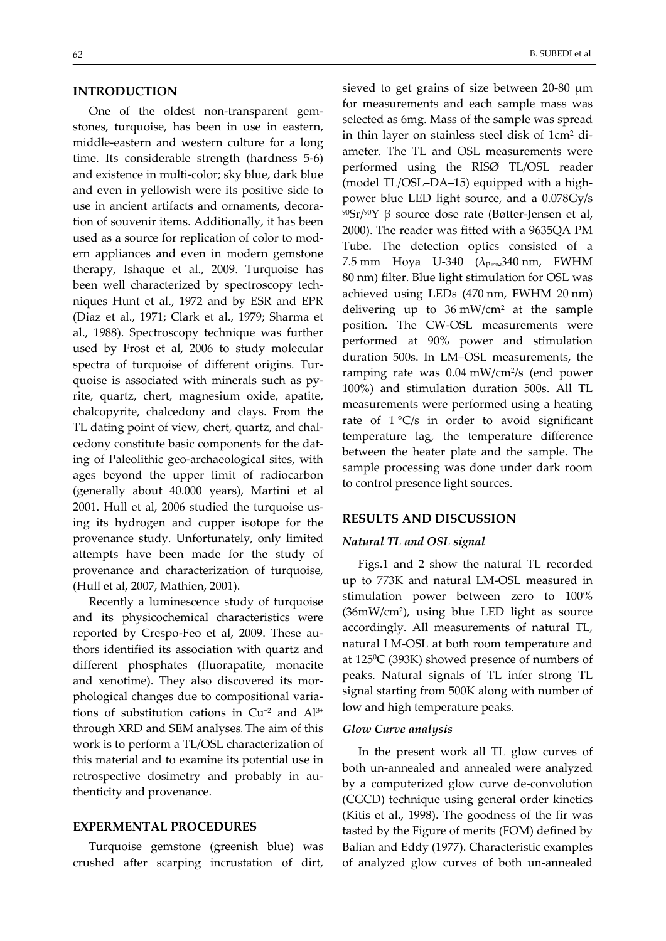### **INTRODUCTION**

One of the oldest non-transparent gemstones, turquoise, has been in use in eastern, middle‐eastern and western culture for a long time. Its considerable strength (hardness 5‐6) and existence in multi‐color; sky blue, dark blue and even in yellowish were its positive side to use in ancient artifacts and ornaments, decora‐ tion of souvenir items. Additionally, it has been used as a source for replication of color to mod‐ ern appliances and even in modern gemstone therapy, Ishaque et al., 2009. Turquoise has been well characterized by spectroscopy techniques Hunt et al., 1972 and by ESR and EPR (Diaz et al., 1971; Clark et al., 1979; Sharma et al., 1988). Spectroscopy technique was further used by Frost et al, 2006 to study molecular spectra of turquoise of different origins*.* Tur‐ quoise is associated with minerals such as py‐ rite, quartz, chert, magnesium oxide, apatite, chalcopyrite, chalcedony and clays. From the TL dating point of view, chert, quartz, and chal‐ cedony constitute basic components for the dat‐ ing of Paleolithic geo‐archaeological sites, with ages beyond the upper limit of radiocarbon (generally about 40.000 years), Martini et al 2001. Hull et al, 2006 studied the turquoise us‐ ing its hydrogen and cupper isotope for the provenance study. Unfortunately, only limited attempts have been made for the study of provenance and characterization of turquoise, (Hull et al, 2007, Mathien, 2001).

Recently a luminescence study of turquoise and its physicochemical characteristics were reported by Crespo‐Feo et al, 2009. These au‐ thors identified its association with quartz and different phosphates (fluorapatite, monacite and xenotime). They also discovered its morphological changes due to compositional varia‐ tions of substitution cations in  $Cu^{+2}$  and  $Al^{3+}$ through XRD and SEM analyses. The aim of this work is to perform a TL/OSL characterization of this material and to examine its potential use in retrospective dosimetry and probably in au‐ thenticity and provenance.

## **EXPERMENTAL PROCEDURES**

Turquoise gemstone (greenish blue) was crushed after scarping incrustation of dirt,

sieved to get grains of size between 20‐80 μm for measurements and each sample mass was selected as 6mg. Mass of the sample was spread in thin layer on stainless steel disk of 1cm2 di‐ ameter. The TL and OSL measurements were performed using the RISØ TL/OSL reader (model TL/OSL–DA–15) equipped with a high‐ power blue LED light source, and a 0.078Gy/s 90Sr/90Y β source dose rate (Bøtter‐Jensen et al, 2000). The reader was fitted with a 9635QA PM Tube. The detection optics consisted of a 7.5 mm Hoya U-340  $(\lambda_{P} \sim 340 \text{ nm}, \text{FWHM})$ 80 nm) filter. Blue light stimulation for OSL was achieved using LEDs (470 nm, FWHM 20 nm) delivering up to  $36 \text{ mW/cm}^2$  at the sample position. The CW‐OSL measurements were performed at 90% power and stimulation duration 500s. In LM–OSL measurements, the ramping rate was 0.04 mW/cm2/s (end power 100%) and stimulation duration 500s. All TL measurements were performed using a heating rate of  $1 \,^{\circ}\text{C/s}$  in order to avoid significant temperature lag, the temperature difference between the heater plate and the sample. The

sample processing was done under dark room to control presence light sources.

#### **RESULTS AND DISCUSSION**

#### *Natural TL and OSL signal*

Figs.1 and 2 show the natural TL recorded up to 773K and natural LM‐OSL measured in stimulation power between zero to 100% (36mW/cm2), using blue LED light as source accordingly. All measurements of natural TL, natural LM‐OSL at both room temperature and at 1250C (393K) showed presence of numbers of peaks. Natural signals of TL infer strong TL signal starting from 500K along with number of low and high temperature peaks.

#### *Glow Curve analysis*

In the present work all TL glow curves of both un‐annealed and annealed were analyzed by a computerized glow curve de‐convolution (CGCD) technique using general order kinetics (Kitis et al., 1998). The goodness of the fir was tasted by the Figure of merits (FOM) defined by Balian and Eddy (1977). Characteristic examples of analyzed glow curves of both un‐annealed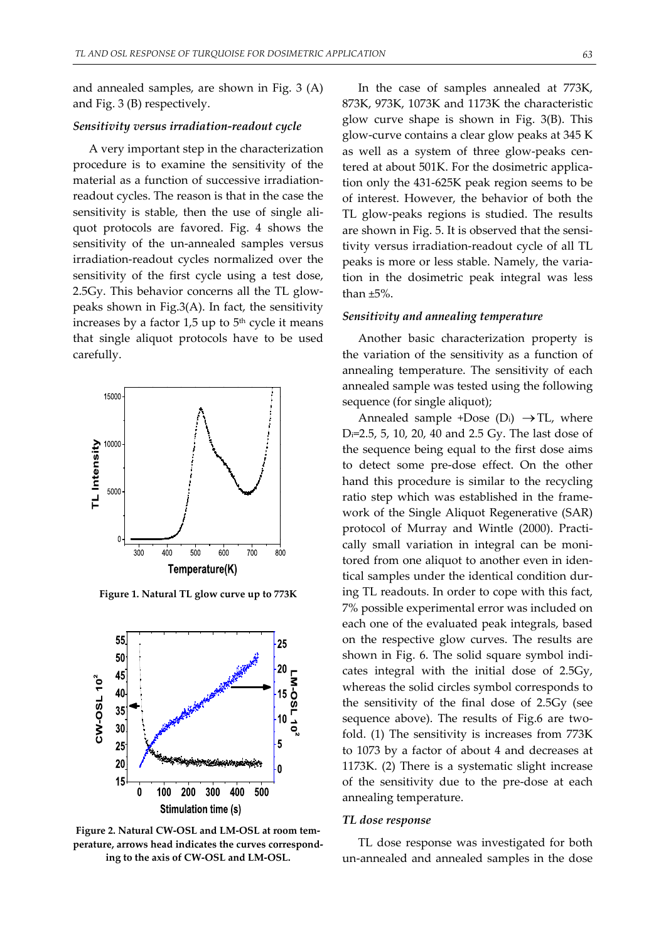and annealed samples, are shown in Fig. 3 (A) and Fig. 3 (B) respectively.

## *Sensitivity versus irradiation‐readout cycle*

A very important step in the characterization procedure is to examine the sensitivity of the material as a function of successive irradiation‐ readout cycles. The reason is that in the case the sensitivity is stable, then the use of single aliquot protocols are favored. Fig. 4 shows the sensitivity of the un-annealed samples versus irradiation‐readout cycles normalized over the sensitivity of the first cycle using a test dose, 2.5Gy. This behavior concerns all the TL glow‐ peaks shown in Fig.3(A). In fact, the sensitivity increases by a factor  $1,5$  up to  $5<sup>th</sup>$  cycle it means that single aliquot protocols have to be used carefully.



**Figure 1. Natural TL glow curve up to 773K**



**Figure 2. Natural CW‐OSL and LM‐OSL at room tem‐ perature, arrows head indicates the curves correspond‐ ing to the axis of CW‐OSL and LM‐OSL.**

In the case of samples annealed at 773K, 873K, 973K, 1073K and 1173K the characteristic glow curve shape is shown in Fig. 3(B). This glow‐curve contains a clear glow peaks at 345 K as well as a system of three glow‐peaks cen‐ tered at about 501K. For the dosimetric application only the 431‐625K peak region seems to be of interest. However, the behavior of both the TL glow‐peaks regions is studied. The results are shown in Fig. 5. It is observed that the sensitivity versus irradiation‐readout cycle of all TL peaks is more or less stable. Namely, the varia‐ tion in the dosimetric peak integral was less than ±5%.

#### *Sensitivity and annealing temperature*

Another basic characterization property is the variation of the sensitivity as a function of annealing temperature. The sensitivity of each annealed sample was tested using the following sequence (for single aliquot);

Annealed sample +Dose  $(D_i) \rightarrow TL$ , where Di=2.5, 5, 10, 20, 40 and 2.5 Gy. The last dose of the sequence being equal to the first dose aims to detect some pre‐dose effect. On the other hand this procedure is similar to the recycling ratio step which was established in the frame‐ work of the Single Aliquot Regenerative (SAR) protocol of Murray and Wintle (2000). Practi‐ cally small variation in integral can be moni‐ tored from one aliquot to another even in iden‐ tical samples under the identical condition dur‐ ing TL readouts. In order to cope with this fact, 7% possible experimental error was included on each one of the evaluated peak integrals, based on the respective glow curves. The results are shown in Fig. 6. The solid square symbol indi‐ cates integral with the initial dose of 2.5Gy, whereas the solid circles symbol corresponds to the sensitivity of the final dose of 2.5Gy (see sequence above). The results of Fig.6 are twofold. (1) The sensitivity is increases from 773K to 1073 by a factor of about 4 and decreases at 1173K. (2) There is a systematic slight increase of the sensitivity due to the pre‐dose at each annealing temperature.

#### *TL dose response*

TL dose response was investigated for both un‐annealed and annealed samples in the dose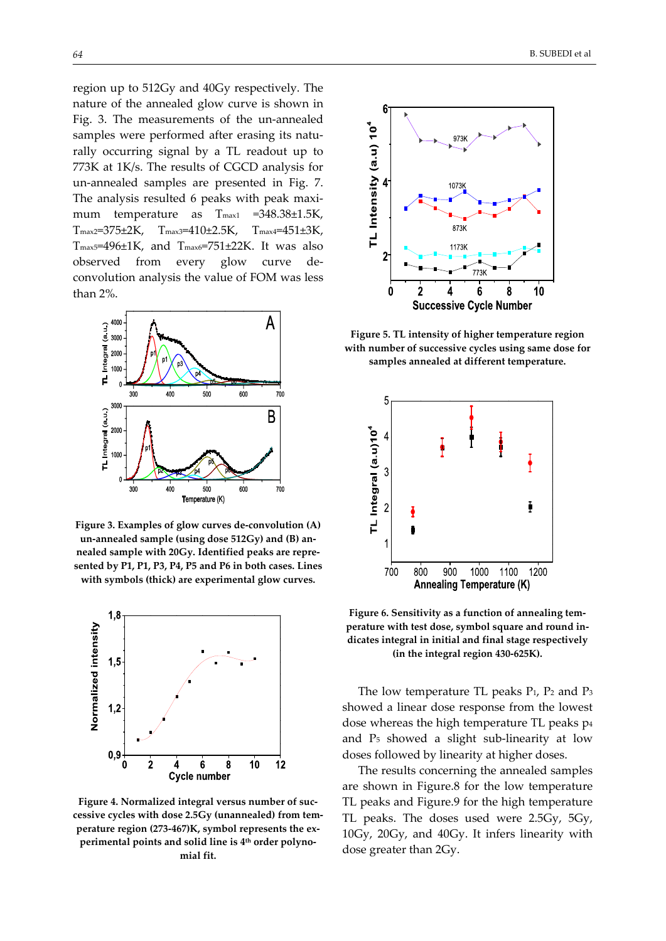region up to 512Gy and 40Gy respectively. The nature of the annealed glow curve is shown in Fig. 3. The measurements of the un-annealed samples were performed after erasing its naturally occurring signal by a TL readout up to 773K at 1K/s. The results of CGCD analysis for un‐annealed samples are presented in Fig. 7. The analysis resulted 6 peaks with peak maximum temperature as T<sub>max1</sub> = 348.38±1.5K, Tmax2=375±2K, Tmax3=410±2.5K, Tmax4=451±3K,  $T_{\text{max5}}$ =496±1K, and  $T_{\text{max6}}$ =751±22K. It was also observed from every glow curve de‐ convolution analysis the value of FOM was less than 2%.



**Figure 3. Examples of glow curves de‐convolution (A) un‐annealed sample (using dose 512Gy) and (B) an‐ nealed sample with 20Gy. Identified peaks are repre‐ sented by P1, P1, P3, P4, P5 and P6 in both cases. Lines with symbols (thick) are experimental glow curves.**



**Figure 4. Normalized integral versus number of suc‐ cessive cycles with dose 2.5Gy (unannealed) from tem‐ perature region (273‐467)K, symbol represents the ex‐ perimental points and solid line is 4th order polyno‐ mial fit.**



**Figure 5. TL intensity of higher temperature region with number of successive cycles using same dose for samples annealed at different temperature.**



**Figure 6. Sensitivity as a function of annealing tem‐ perature with test dose, symbol square and round in‐ dicates integral in initial and final stage respectively (in the integral region 430‐625K).**

The low temperature TL peaks  $P_1$ ,  $P_2$  and  $P_3$ showed a linear dose response from the lowest dose whereas the high temperature TL peaks p4 and P5 showed a slight sub‐linearity at low doses followed by linearity at higher doses.

The results concerning the annealed samples are shown in Figure.8 for the low temperature TL peaks and Figure.9 for the high temperature TL peaks. The doses used were 2.5Gy, 5Gy, 10Gy, 20Gy, and 40Gy. It infers linearity with dose greater than 2Gy.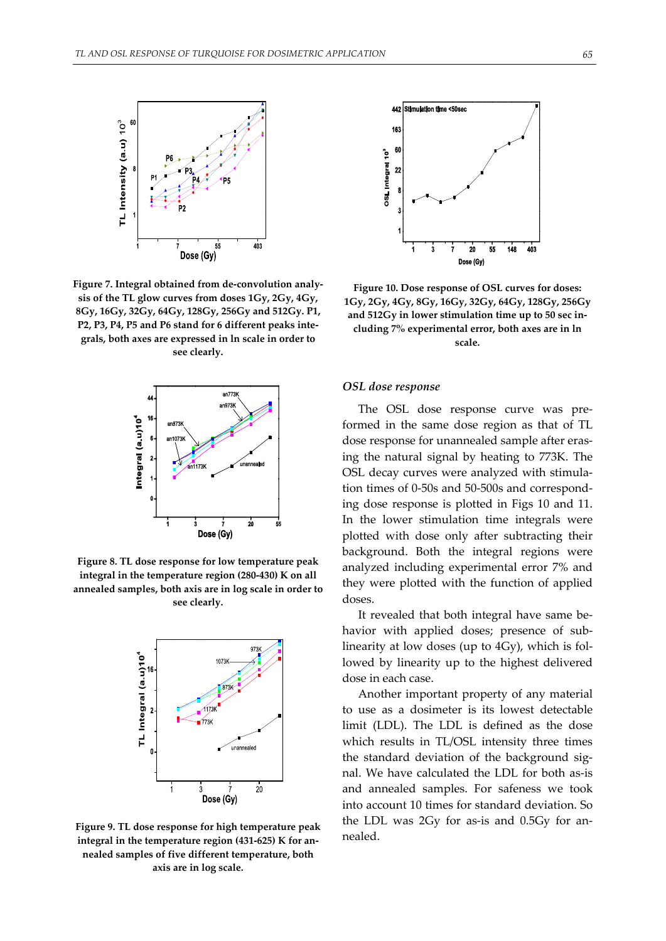

**Figure 7. Integral obtained from de‐convolution analy‐ sis of the TL glow curves from doses 1Gy, 2Gy, 4Gy, 8Gy, 16Gy, 32Gy, 64Gy, 128Gy, 256Gy and 512Gy. P1, P2, P3, P4, P5 and P6 stand for 6 different peaks inte‐ grals, both axes are expressed in ln scale in order to see clearly.**



**Figure 8. TL dose response for low temperature peak integral in the temperature region (280‐430) K on all annealed samples, both axis are in log scale in order to see clearly.**



**Figure 9. TL dose response for high temperature peak integral in the temperature region (431‐625) K for an‐ nealed samples of five different temperature, both axis are in log scale.**



**Figure 10. Dose response of OSL curves for doses: 1Gy, 2Gy, 4Gy, 8Gy, 16Gy, 32Gy, 64Gy, 128Gy, 256Gy and 512Gy in lower stimulation time up to 50 sec in‐ cluding 7% experimental error, both axes are in ln scale.**

## *OSL dose response*

The OSL dose response curve was pre‐ formed in the same dose region as that of TL dose response for unannealed sample after erasing the natural signal by heating to 773K. The OSL decay curves were analyzed with stimula‐ tion times of 0‐50s and 50‐500s and correspond‐ ing dose response is plotted in Figs 10 and 11. In the lower stimulation time integrals were plotted with dose only after subtracting their background. Both the integral regions were analyzed including experimental error 7% and they were plotted with the function of applied doses.

It revealed that both integral have same be‐ havior with applied doses; presence of sublinearity at low doses (up to 4Gy), which is fol‐ lowed by linearity up to the highest delivered dose in each case.

Another important property of any material to use as a dosimeter is its lowest detectable limit (LDL). The LDL is defined as the dose which results in TL/OSL intensity three times the standard deviation of the background signal. We have calculated the LDL for both as‐is and annealed samples. For safeness we took into account 10 times for standard deviation. So the LDL was 2Gy for as-is and 0.5Gy for annealed.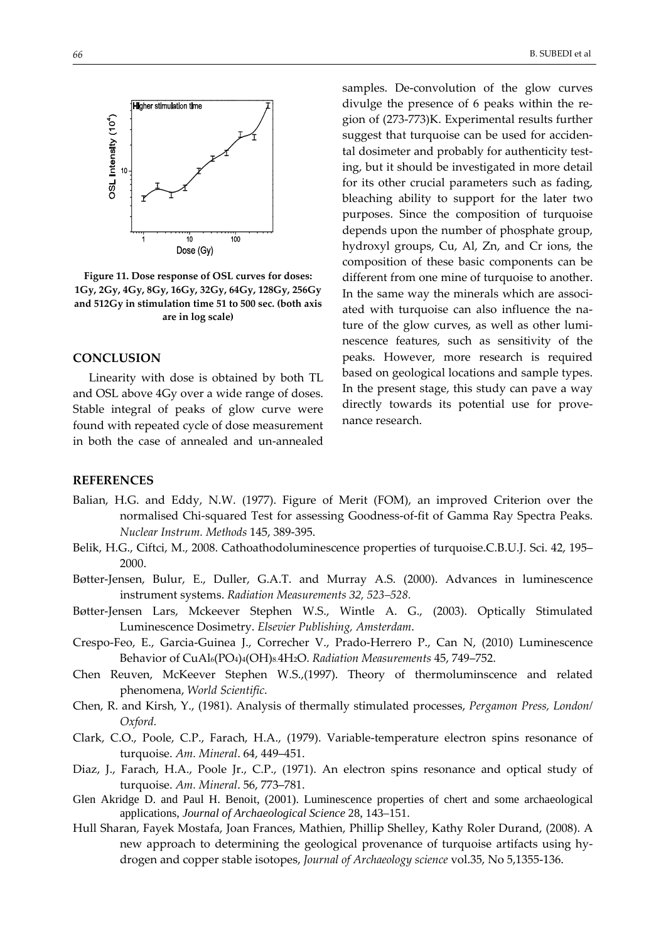

**Figure 11. Dose response of OSL curves for doses: 1Gy, 2Gy, 4Gy, 8Gy, 16Gy, 32Gy, 64Gy, 128Gy, 256Gy and 512Gy in stimulation time 51 to 500 sec. (both axis are in log scale)**

#### **CONCLUSION**

Linearity with dose is obtained by both TL and OSL above 4Gy over a wide range of doses. Stable integral of peaks of glow curve were found with repeated cycle of dose measurement in both the case of annealed and un‐annealed

samples. De-convolution of the glow curves divulge the presence of 6 peaks within the region of (273‐773)K. Experimental results further suggest that turquoise can be used for acciden‐ tal dosimeter and probably for authenticity testing, but it should be investigated in more detail for its other crucial parameters such as fading, bleaching ability to support for the later two purposes. Since the composition of turquoise depends upon the number of phosphate group, hydroxyl groups, Cu, Al, Zn, and Cr ions, the composition of these basic components can be different from one mine of turquoise to another. In the same way the minerals which are associated with turquoise can also influence the na‐ ture of the glow curves, as well as other luminescence features, such as sensitivity of the peaks. However, more research is required based on geological locations and sample types. In the present stage, this study can pave a way directly towards its potential use for prove‐ nance research.

## **REFERENCES**

- Balian, H.G. and Eddy, N.W. (1977). Figure of Merit (FOM), an improved Criterion over the normalised Chi‐squared Test for assessing Goodness‐of‐fit of Gamma Ray Spectra Peaks. *Nuclear Instrum. Methods* 145, 389‐395.
- Belik, H.G., Ciftci, M., 2008. Cathoathodoluminescence properties of turquoise.C.B.U.J. Sci. 42, 195– 2000.
- Bøtter-Jensen, Bulur, E., Duller, G.A.T. and Murray A.S. (2000). Advances in luminescence instrument systems. *Radiation Measurements 32, 523–528.*
- Bøtter‐Jensen Lars, Mckeever Stephen W.S., Wintle A. G., (2003). Optically Stimulated Luminescence Dosimetry. *Elsevier Publishing, Amsterdam*.
- Crespo‐Feo, E., Garcia‐Guinea J., Correcher V., Prado‐Herrero P., Can N, (2010) Luminescence Behavior of CuAl6(PO4)4(OH)8.4H2O. *Radiation Measurements* 45, 749–752.
- Chen Reuven, McKeever Stephen W.S.,(1997). Theory of thermoluminscence and related phenomena, *World Scientific*.
- Chen, R. and Kirsh, Y., (1981). Analysis of thermally stimulated processes, *Pergamon Press, London/ Oxford.*
- Clark, C.O., Poole, C.P., Farach, H.A., (1979). Variable‐temperature electron spins resonance of turquoise. *Am. Mineral*. 64, 449–451.
- Diaz, J., Farach, H.A., Poole Jr., C.P., (1971). An electron spins resonance and optical study of turquoise. *Am. Mineral*. 56, 773–781.
- Glen Akridge D. and Paul H. Benoit, (2001). Luminescence properties of chert and some archaeological applications, *Journal of Archaeological Science* 28, 143–151.
- Hull Sharan, Fayek Mostafa, Joan Frances, Mathien, Phillip Shelley, Kathy Roler Durand, (2008). A new approach to determining the geological provenance of turquoise artifacts using hy‐ drogen and copper stable isotopes, *Journal of Archaeology science* vol.35, No 5,1355‐136.